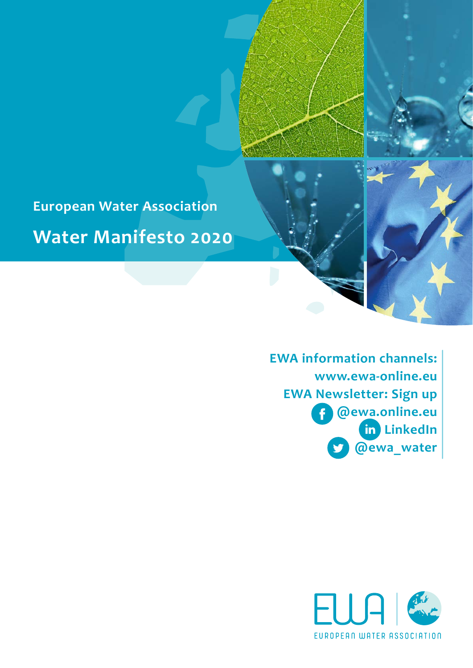

**European Water Association Water Manifesto 2020**

> **EWA information channels: [www.ewa-online.eu](http://www.ewa-online.eu) EWA Newsletter: [Sign up](https://www.ewa-online.eu/newsletter-sign-up.html) [@ewa.online.eu](https://www.facebook.com/ewa.online.eu/)**   $\mathbf f$ **[LinkedIn](https://de.linkedin.com/company/european-water-association-ewa)**  $\mathbf{in}$ **[@ewa\\_water](https://twitter.com/water_ewa?lang=de)**

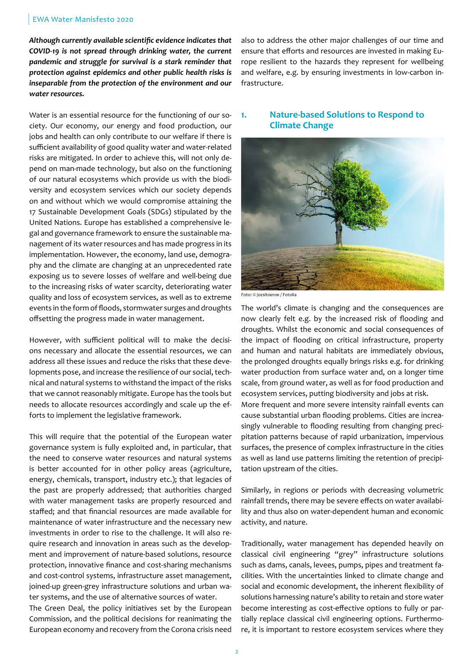#### EWA Water Manisfesto 2020

*Although currently available scientific evidence indicates that COVID-19 is not spread through drinking water, the current pandemic and struggle for survival is a stark reminder that protection against epidemics and other public health risks is inseparable from the protection of the environment and our water resources.* 

Water is an essential resource for the functioning of our society. Our economy, our energy and food production, our jobs and health can only contribute to our welfare if there is sufficient availability of good quality water and water-related risks are mitigated. In order to achieve this, will not only depend on man-made technology, but also on the functioning of our natural ecosystems which provide us with the biodiversity and ecosystem services which our society depends on and without which we would compromise attaining the 17 Sustainable Development Goals (SDGs) stipulated by the United Nations. Europe has established a comprehensive legal and governance framework to ensure the sustainable management of its water resources and has made progress in its implementation. However, the economy, land use, demography and the climate are changing at an unprecedented rate exposing us to severe losses of welfare and well-being due to the increasing risks of water scarcity, deteriorating water quality and loss of ecosystem services, as well as to extreme events in the form of floods, stormwater surges and droughts offsetting the progress made in water management.

However, with sufficient political will to make the decisions necessary and allocate the essential resources, we can address all these issues and reduce the risks that these developments pose, and increase the resilience of our social, technical and natural systems to withstand the impact of the risks that we cannot reasonably mitigate. Europe has the tools but needs to allocate resources accordingly and scale up the efforts to implement the legislative framework.

This will require that the potential of the European water governance system is fully exploited and, in particular, that the need to conserve water resources and natural systems is better accounted for in other policy areas (agriculture, energy, chemicals, transport, industry etc.); that legacies of the past are properly addressed; that authorities charged with water management tasks are properly resourced and staffed; and that financial resources are made available for maintenance of water infrastructure and the necessary new investments in order to rise to the challenge. It will also require research and innovation in areas such as the development and improvement of nature-based solutions, resource protection, innovative finance and cost-sharing mechanisms and cost-control systems, infrastructure asset management, joined-up green-grey infrastructure solutions and urban water systems, and the use of alternative sources of water.

The Green Deal, the policy initiatives set by the European Commission, and the political decisions for reanimating the European economy and recovery from the Corona crisis need also to address the other major challenges of our time and ensure that efforts and resources are invested in making Europe resilient to the hazards they represent for wellbeing and welfare, e.g. by ensuring investments in low-carbon infrastructure.

## **1. Nature-based Solutions to Respond to Climate Change**



Foto: © jozsitoeroe / Fotolia

The world's climate is changing and the consequences are now clearly felt e.g. by the increased risk of flooding and droughts. Whilst the economic and social consequences of the impact of flooding on critical infrastructure, property and human and natural habitats are immediately obvious, the prolonged droughts equally brings risks e.g. for drinking water production from surface water and, on a longer time scale, from ground water, as well as for food production and ecosystem services, putting biodiversity and jobs at risk. More frequent and more severe intensity rainfall events can cause substantial urban flooding problems. Cities are increasingly vulnerable to flooding resulting from changing precipitation patterns because of rapid urbanization, impervious surfaces, the presence of complex infrastructure in the cities as well as land use patterns limiting the retention of precipitation upstream of the cities.

Similarly, in regions or periods with decreasing volumetric rainfall trends, there may be severe effects on water availability and thus also on water-dependent human and economic activity, and nature.

Traditionally, water management has depended heavily on classical civil engineering "grey" infrastructure solutions such as dams, canals, levees, pumps, pipes and treatment facilities. With the uncertainties linked to climate change and social and economic development, the inherent flexibility of solutions harnessing nature's ability to retain and store water become interesting as cost-effective options to fully or partially replace classical civil engineering options. Furthermore, it is important to restore ecosystem services where they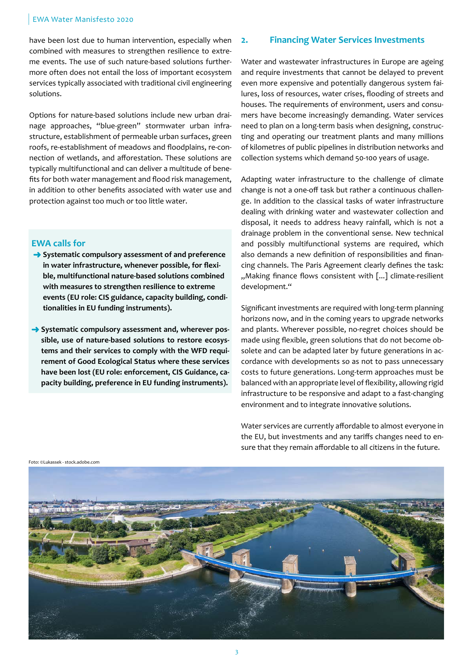#### EWA Water Manisfesto 2020

have been lost due to human intervention, especially when combined with measures to strengthen resilience to extreme events. The use of such nature-based solutions furthermore often does not entail the loss of important ecosystem services typically associated with traditional civil engineering solutions.

Options for nature-based solutions include new urban drainage approaches, "blue-green" stormwater urban infrastructure, establishment of permeable urban surfaces, green roofs, re-establishment of meadows and floodplains, re-connection of wetlands, and afforestation. These solutions are typically multifunctional and can deliver a multitude of benefits for both water management and flood risk management, in addition to other benefits associated with water use and protection against too much or too little water.

### **EWA calls for**

- **→ Systematic compulsory assessment of and preference in water infrastructure, whenever possible, for flexible, multifunctional nature-based solutions combined with measures to strengthen resilience to extreme events (EU role: CIS guidance, capacity building, conditionalities in EU funding instruments).**
- **→** Systematic compulsory assessment and, wherever pos**sible, use of nature-based solutions to restore ecosystems and their services to comply with the WFD requirement of Good Ecological Status where these services have been lost (EU role: enforcement, CIS Guidance, capacity building, preference in EU funding instruments).**

## **2. Financing Water Services Investments**

Water and wastewater infrastructures in Europe are ageing and require investments that cannot be delayed to prevent even more expensive and potentially dangerous system failures, loss of resources, water crises, flooding of streets and houses. The requirements of environment, users and consumers have become increasingly demanding. Water services need to plan on a long-term basis when designing, constructing and operating our treatment plants and many millions of kilometres of public pipelines in distribution networks and collection systems which demand 50-100 years of usage.

Adapting water infrastructure to the challenge of climate change is not a one-off task but rather a continuous challenge. In addition to the classical tasks of water infrastructure dealing with drinking water and wastewater collection and disposal, it needs to address heavy rainfall, which is not a drainage problem in the conventional sense. New technical and possibly multifunctional systems are required, which also demands a new definition of responsibilities and financing channels. The Paris Agreement clearly defines the task: ..Making finance flows consistent with [...] climate-resilient development."

Significant investments are required with long-term planning horizons now, and in the coming years to upgrade networks and plants. Wherever possible, no-regret choices should be made using flexible, green solutions that do not become obsolete and can be adapted later by future generations in accordance with developments so as not to pass unnecessary costs to future generations. Long-term approaches must be balanced with an appropriate level of flexibility, allowing rigid infrastructure to be responsive and adapt to a fast-changing environment and to integrate innovative solutions.

Water services are currently affordable to almost everyone in the EU, but investments and any tariffs changes need to ensure that they remain affordable to all citizens in the future.

Foto: ©Lukassek - stock.adobe.com

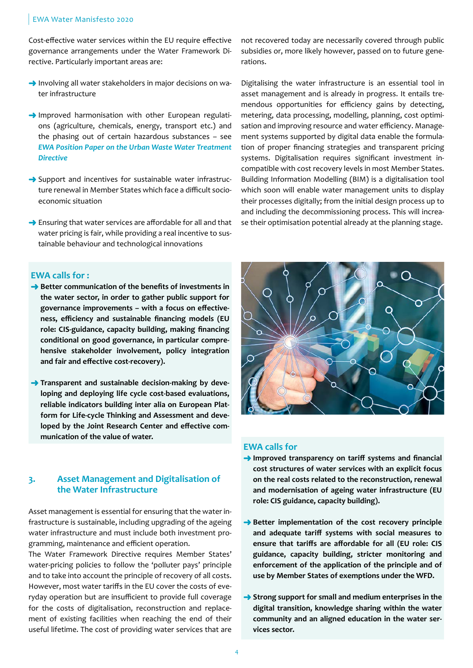#### EWA Water Manisfesto 2020

Cost-effective water services within the EU require effective governance arrangements under the Water Framework Directive. Particularly important areas are:

- $\rightarrow$  Involving all water stakeholders in major decisions on water infrastructure
- $\rightarrow$  Improved harmonisation with other European regulations (agriculture, chemicals, energy, transport etc.) and the phasing out of certain hazardous substances – see *[EWA Position Paper on the Urban Waste Water Treatment](http://www.ewa-online.eu/tl_files/_media/content/documents_pdf/Publications/Water-Manifesto/EWA_position_paper_UWWTD_2.pdf)  [Directive](http://www.ewa-online.eu/tl_files/_media/content/documents_pdf/Publications/Water-Manifesto/EWA_position_paper_UWWTD_2.pdf)*
- $\rightarrow$  Support and incentives for sustainable water infrastructure renewal in Member States which face a difficult socioeconomic situation
- $\rightarrow$  Ensuring that water services are affordable for all and that water pricing is fair, while providing a real incentive to sustainable behaviour and technological innovations

### **EWA calls for :**

- **→ Better communication of the benefits of investments in the water sector, in order to gather public support for governance improvements – with a focus on effectiveness, efficiency and sustainable financing models (EU role: CIS-guidance, capacity building, making financing conditional on good governance, in particular comprehensive stakeholder involvement, policy integration and fair and effective cost-recovery).**
- **Transparent and sustainable decision-making by developing and deploying life cycle cost-based evaluations, reliable indicators building inter alia on European Platform for Life-cycle Thinking and Assessment and developed by the Joint Research Center and effective communication of the value of water.**

## **3. Asset Management and Digitalisation of the Water Infrastructure**

Asset management is essential for ensuring that the water infrastructure is sustainable, including upgrading of the ageing water infrastructure and must include both investment programming, maintenance and efficient operation.

The Water Framework Directive requires Member States' water-pricing policies to follow the 'polluter pays' principle and to take into account the principle of recovery of all costs. However, most water tariffs in the EU cover the costs of everyday operation but are insufficient to provide full coverage for the costs of digitalisation, reconstruction and replacement of existing facilities when reaching the end of their useful lifetime. The cost of providing water services that are not recovered today are necessarily covered through public subsidies or, more likely however, passed on to future generations.

Digitalising the water infrastructure is an essential tool in asset management and is already in progress. It entails tremendous opportunities for efficiency gains by detecting, metering, data processing, modelling, planning, cost optimisation and improving resource and water efficiency. Management systems supported by digital data enable the formulation of proper financing strategies and transparent pricing systems. Digitalisation requires significant investment incompatible with cost recovery levels in most Member States. Building Information Modelling (BIM) is a digitalisation tool which soon will enable water management units to display their processes digitally; from the initial design process up to and including the decommissioning process. This will increase their optimisation potential already at the planning stage.



#### **EWA calls for**

- **Improved transparency on tariff systems and financial cost structures of water services with an explicit focus on the real costs related to the reconstruction, renewal and modernisation of ageing water infrastructure (EU role: CIS guidance, capacity building).**
- **→ Better implementation of the cost recovery principle and adequate tariff systems with social measures to ensure that tariffs are affordable for all (EU role: CIS guidance, capacity building, stricter monitoring and enforcement of the application of the principle and of use by Member States of exemptions under the WFD.**
- **→ Strong support for small and medium enterprises in the digital transition, knowledge sharing within the water community and an aligned education in the water services sector.**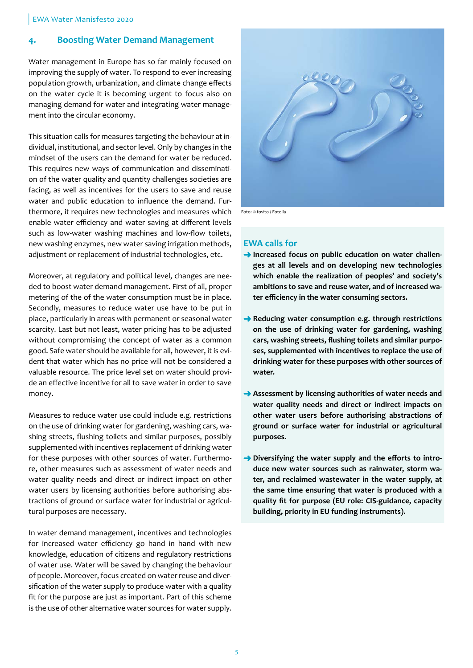# **4. Boosting Water Demand Management**

Water management in Europe has so far mainly focused on improving the supply of water. To respond to ever increasing population growth, urbanization, and climate change effects on the water cycle it is becoming urgent to focus also on managing demand for water and integrating water management into the circular economy.

This situation calls for measures targeting the behaviour at individual, institutional, and sector level. Only by changes in the mindset of the users can the demand for water be reduced. This requires new ways of communication and dissemination of the water quality and quantity challenges societies are facing, as well as incentives for the users to save and reuse water and public education to influence the demand. Furthermore, it requires new technologies and measures which enable water efficiency and water saving at different levels such as low-water washing machines and low-flow toilets, new washing enzymes, new water saving irrigation methods, adjustment or replacement of industrial technologies, etc.

Moreover, at regulatory and political level, changes are needed to boost water demand management. First of all, proper metering of the of the water consumption must be in place. Secondly, measures to reduce water use have to be put in place, particularly in areas with permanent or seasonal water scarcity. Last but not least, water pricing has to be adjusted without compromising the concept of water as a common good. Safe water should be available for all, however, it is evident that water which has no price will not be considered a valuable resource. The price level set on water should provide an effective incentive for all to save water in order to save money.

Measures to reduce water use could include e.g. restrictions on the use of drinking water for gardening, washing cars, washing streets, flushing toilets and similar purposes, possibly supplemented with incentives replacement of drinking water for these purposes with other sources of water. Furthermore, other measures such as assessment of water needs and water quality needs and direct or indirect impact on other water users by licensing authorities before authorising abstractions of ground or surface water for industrial or agricultural purposes are necessary.

In water demand management, incentives and technologies for increased water efficiency go hand in hand with new knowledge, education of citizens and regulatory restrictions of water use. Water will be saved by changing the behaviour of people. Moreover, focus created on water reuse and diversification of the water supply to produce water with a quality fit for the purpose are just as important. Part of this scheme is the use of other alternative water sources for water supply.



Foto: © fovito / Fotolia

# **EWA calls for**

- **→** Increased focus on public education on water challen**ges at all levels and on developing new technologies which enable the realization of peoples' and society's ambitions to save and reuse water, and of increased water efficiency in the water consuming sectors.**
- **→ Reducing water consumption e.g. through restrictions on the use of drinking water for gardening, washing cars, washing streets, flushing toilets and similar purposes, supplemented with incentives to replace the use of drinking water for these purposes with other sources of water.**
- **Assessment by licensing authorities of water needs and water quality needs and direct or indirect impacts on other water users before authorising abstractions of ground or surface water for industrial or agricultural purposes.**
- **→** Diversifying the water supply and the efforts to intro**duce new water sources such as rainwater, storm water, and reclaimed wastewater in the water supply, at the same time ensuring that water is produced with a quality fit for purpose (EU role: CIS-guidance, capacity building, priority in EU funding instruments).**